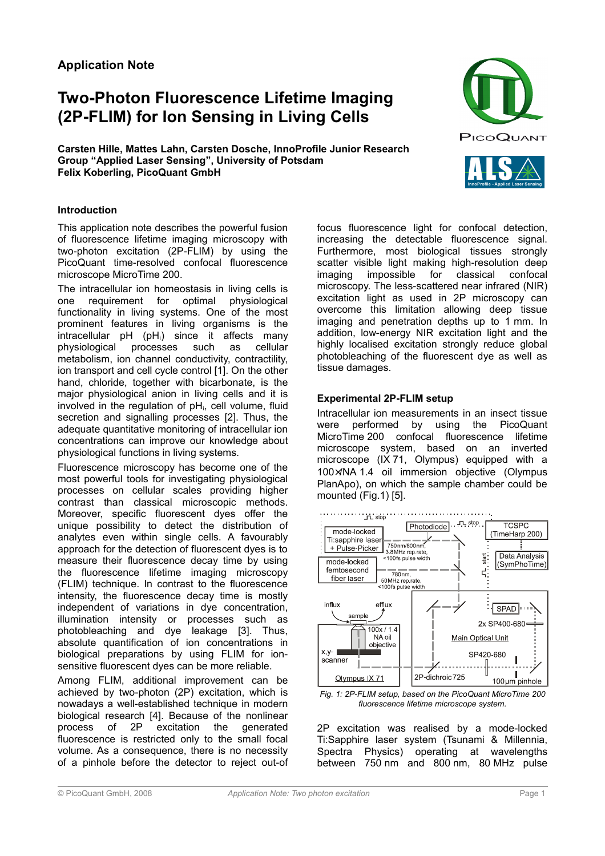# **Application Note**

# **Two-Photon Fluorescence Lifetime Imaging (2P-FLIM) for Ion Sensing in Living Cells**

**Carsten Hille, Mattes Lahn, Carsten Dosche, InnoProfile Junior Research Group "Applied Laser Sensing", University of Potsdam Felix Koberling, PicoQuant GmbH**





## **Introduction**

This application note describes the powerful fusion of fluorescence lifetime imaging microscopy with two-photon excitation (2P-FLIM) by using the PicoQuant time-resolved confocal fluorescence microscope MicroTime 200.

The intracellular ion homeostasis in living cells is<br>one requirement for optimal physiological one requirement for optimal functionality in living systems. One of the most prominent features in living organisms is the intracellular pH (pH<sub>i</sub>) since it affects many physiological processes such as cellular metabolism, ion channel conductivity, contractility, ion transport and cell cycle control [1]. On the other hand, chloride, together with bicarbonate, is the major physiological anion in living cells and it is involved in the regulation of  $pH_i$ , cell volume, fluid secretion and signalling processes [2]. Thus, the adequate quantitative monitoring of intracellular ion concentrations can improve our knowledge about physiological functions in living systems.

Fluorescence microscopy has become one of the most powerful tools for investigating physiological processes on cellular scales providing higher contrast than classical microscopic methods. Moreover, specific fluorescent dyes offer the unique possibility to detect the distribution of analytes even within single cells. A favourably approach for the detection of fluorescent dyes is to measure their fluorescence decay time by using the fluorescence lifetime imaging microscopy (FLIM) technique. In contrast to the fluorescence intensity, the fluorescence decay time is mostly independent of variations in dye concentration, illumination intensity or processes such as photobleaching and dye leakage [3]. Thus, absolute quantification of ion concentrations in biological preparations by using FLIM for ionsensitive fluorescent dyes can be more reliable.

Among FLIM, additional improvement can be achieved by two-photon (2P) excitation, which is nowadays a well-established technique in modern biological research [4]. Because of the nonlinear process of 2P excitation the generated fluorescence is restricted only to the small focal volume. As a consequence, there is no necessity of a pinhole before the detector to reject out-of focus fluorescence light for confocal detection, increasing the detectable fluorescence signal. Furthermore, most biological tissues strongly scatter visible light making high-resolution deep imaging impossible for classical confocal microscopy. The less-scattered near infrared (NIR) excitation light as used in 2P microscopy can overcome this limitation allowing deep tissue imaging and penetration depths up to 1 mm. In addition, low-energy NIR excitation light and the highly localised excitation strongly reduce global photobleaching of the fluorescent dye as well as tissue damages.

#### **Experimental 2P-FLIM setup**

Intracellular ion measurements in an insect tissue were performed by using the PicoQuant MicroTime 200 confocal fluorescence lifetime microscope system, based on an inverted microscope (IX 71, Olympus) equipped with a 100×/NA 1.4 oil immersion objective (Olympus PlanApo), on which the sample chamber could be mounted (Fig.1) [5].



*Fig. 1: 2P-FLIM setup, based on the PicoQuant MicroTime 200 fluorescence lifetime microscope system.*

2P excitation was realised by a mode-locked Ti:Sapphire laser system (Tsunami & Millennia, Spectra Physics) operating at wavelengths between 750 nm and 800 nm, 80 MHz pulse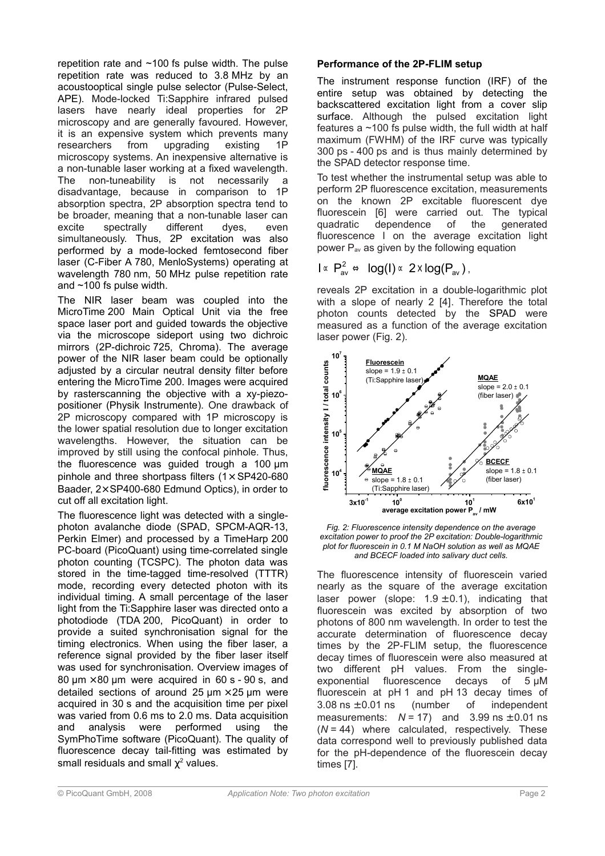repetition rate and ~100 fs pulse width. The pulse repetition rate was reduced to 3.8 MHz by an acoustooptical single pulse selector (Pulse-Select, APE). Mode-locked Ti:Sapphire infrared pulsed lasers have nearly ideal properties for 2P microscopy and are generally favoured. However, it is an expensive system which prevents many researchers from upgrading existing 1P microscopy systems. An inexpensive alternative is a non-tunable laser working at a fixed wavelength. The non-tuneability is not necessarily a disadvantage, because in comparison to 1P absorption spectra, 2P absorption spectra tend to be broader, meaning that a non-tunable laser can excite spectrally different dyes, even simultaneously. Thus, 2P excitation was also performed by a mode-locked femtosecond fiber laser (C-Fiber A 780, MenloSystems) operating at wavelength 780 nm, 50 MHz pulse repetition rate and ~100 fs pulse width.

The NIR laser beam was coupled into the MicroTime 200 Main Optical Unit via the free space laser port and guided towards the objective via the microscope sideport using two dichroic mirrors (2P-dichroic 725, Chroma). The average power of the NIR laser beam could be optionally adjusted by a circular neutral density filter before entering the MicroTime 200. Images were acquired by rasterscanning the objective with a xy-piezopositioner (Physik Instrumente). One drawback of 2P microscopy compared with 1P microscopy is the lower spatial resolution due to longer excitation wavelengths. However, the situation can be improved by still using the confocal pinhole. Thus, the fluorescence was guided trough a 100 µm pinhole and three shortpass filters  $(1 \times SP420 - 680)$ Baader, 2× SP400-680 Edmund Optics), in order to cut off all excitation light.

The fluorescence light was detected with a singlephoton avalanche diode (SPAD, SPCM-AQR-13, Perkin Elmer) and processed by a TimeHarp 200 PC-board (PicoQuant) using time-correlated single photon counting (TCSPC). The photon data was stored in the time-tagged time-resolved (TTTR) mode, recording every detected photon with its individual timing. A small percentage of the laser light from the Ti:Sapphire laser was directed onto a photodiode (TDA 200, PicoQuant) in order to provide a suited synchronisation signal for the timing electronics. When using the fiber laser, a reference signal provided by the fiber laser itself was used for synchronisation. Overview images of 80  $\mu$ m × 80  $\mu$ m were acquired in 60 s - 90 s, and detailed sections of around 25  $\mu$ m  $\times$  25  $\mu$ m were acquired in 30 s and the acquisition time per pixel was varied from 0.6 ms to 2.0 ms. Data acquisition and analysis were performed using the SymPhoTime software (PicoQuant). The quality of fluorescence decay tail-fitting was estimated by small residuals and small  $\chi^2$  values.

# **Performance of the 2P-FLIM setup**

The instrument response function (IRF) of the entire setup was obtained by detecting the backscattered excitation light from a cover slip surface. Although the pulsed excitation light features a  $~100$  fs pulse width, the full width at half maximum (FWHM) of the IRF curve was typically 300 ps - 400 ps and is thus mainly determined by the SPAD detector response time.

To test whether the instrumental setup was able to perform 2P fluorescence excitation, measurements on the known 2P excitable fluorescent dye fluorescein [6] were carried out. The typical quadratic dependence of the generated fluorescence I on the average excitation light power  $P_{av}$  as given by the following equation

$$
I \propto P_{av}^2 \Leftrightarrow \log(I) \propto 2 \times \log(P_{av}),
$$

reveals 2P excitation in a double-logarithmic plot with a slope of nearly 2 [4]. Therefore the total photon counts detected by the SPAD were measured as a function of the average excitation laser power (Fig. 2).



*Fig. 2: Fluorescence intensity dependence on the average excitation power to proof the 2P excitation: Double-logarithmic plot for fluorescein in 0.1 M NaOH solution as well as MQAE and BCECF loaded into salivary duct cells.*

The fluorescence intensity of fluorescein varied nearly as the square of the average excitation laser power (slope:  $1.9 \pm 0.1$ ), indicating that fluorescein was excited by absorption of two photons of 800 nm wavelength. In order to test the accurate determination of fluorescence decay times by the 2P-FLIM setup, the fluorescence decay times of fluorescein were also measured at two different pH values. From the singleexponential fluorescence decays of 5 µM fluorescein at pH 1 and pH 13 decay times of  $3.08 \text{ ns } \pm 0.01 \text{ ns}$  (number of independent measurements:  $N = 17$ ) and  $3.99$  ns  $\pm$  0.01 ns  $(N = 44)$  where calculated, respectively. These data correspond well to previously published data for the pH-dependence of the fluorescein decay times [7].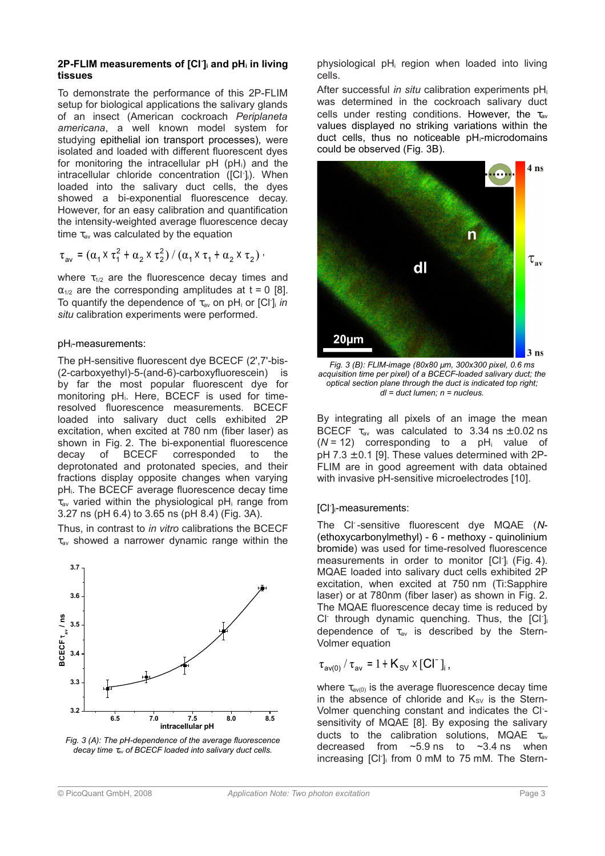#### **2P-FLIM measurements of [Cl- ]i and pHi in living tissues**

To demonstrate the performance of this 2P-FLIM setup for biological applications the salivary glands of an insect (American cockroach *Periplaneta americana*, a well known model system for studying epithelial ion transport processes), were isolated and loaded with different fluorescent dyes for monitoring the intracellular  $pH(pH<sub>i</sub>)$  and the intracellular chloride concentration ([Cl<sup>-</sup>]<sub>i</sub>). When loaded into the salivary duct cells, the dyes showed a bi-exponential fluorescence decay. However, for an easy calibration and quantification the intensity-weighted average fluorescence decay time  $\tau_{av}$  was calculated by the equation

$$
\tau_{av} = (\alpha_1 \times \tau_1^2 + \alpha_2 \times \tau_2^2) / (\alpha_1 \times \tau_1 + \alpha_2 \times \tau_2).
$$

where  $\tau_{1/2}$  are the fluorescence decay times and  $\alpha_{1/2}$  are the corresponding amplitudes at t = 0 [8]. To quantify the dependence of τav on pHi or [Cl- ]<sup>i</sup> *in situ* calibration experiments were performed.

# pHi-measurements:

The pH-sensitive fluorescent dye BCECF (2',7'-bis- (2-carboxyethyl)-5-(and-6)-carboxyfluorescein) is by far the most popular fluorescent dye for monitoring pH<sub>i</sub>. Here, BCECF is used for timeresolved fluorescence measurements. BCECF loaded into salivary duct cells exhibited 2P excitation, when excited at 780 nm (fiber laser) as shown in Fig. 2. The bi-exponential fluorescence decay of BCECF corresponded to the deprotonated and protonated species, and their fractions display opposite changes when varying pHi. The BCECF average fluorescence decay time  $\tau_{av}$  varied within the physiological pH<sub>i</sub> range from 3.27 ns (pH 6.4) to 3.65 ns (pH 8.4) (Fig. 3A).

Thus, in contrast to *in vitro* calibrations the BCECF  $\tau_{av}$  showed a narrower dynamic range within the





physiological pHi region when loaded into living cells.

After successful *in situ* calibration experiments pH<sup>i</sup> was determined in the cockroach salivary duct cells under resting conditions. However, the  $\tau_{av}$ values displayed no striking variations within the duct cells, thus no noticeable pHi-microdomains could be observed (Fig. 3B).



*Fig. 3 (B): FLIM-image (80x80 µm, 300x300 pixel, 0.6 ms acquisition time per pixel) of a BCECF-loaded salivary duct; the optical section plane through the duct is indicated top right; dl = duct lumen; n = nucleus.*

By integrating all pixels of an image the mean BCECF  $\tau_{av}$  was calculated to 3.34 ns  $\pm$  0.02 ns (*N* = 12) corresponding to a pHi value of pH  $7.3 \pm 0.1$  [9]. These values determined with 2P-FLIM are in good agreement with data obtained with invasive pH-sensitive microelectrodes [10].

# [Cl- ]i-measurements:

The Cl- -sensitive fluorescent dye MQAE (*N*- (ethoxycarbonylmethyl) - 6 - methoxy - quinolinium bromide) was used for time-resolved fluorescence measurements in order to monitor [Cl<sup>-</sup>]<sub>i</sub> (Fig. 4). MQAE loaded into salivary duct cells exhibited 2P excitation, when excited at 750 nm (Ti:Sapphire laser) or at 780nm (fiber laser) as shown in Fig. 2. The MQAE fluorescence decay time is reduced by CI<sup>-</sup> through dynamic quenching. Thus, the [CI<sup>-</sup>] dependence of  $\tau_{av}$  is described by the Stern-Volmer equation

$$
\tau_{\mathsf{av}(0)} / \tau_{\mathsf{av}} = 1 + \mathsf{K}_{\mathsf{SV}} \times [\mathsf{CI}^{\mathsf{T}}]_{\mathsf{i}},
$$

where  $\tau_{\text{av(0)}}$  is the average fluorescence decay time in the absence of chloride and  $K_{SV}$  is the Stern-Volmer quenching constant and indicates the Cl- sensitivity of MQAE [8]. By exposing the salivary ducts to the calibration solutions, MQAE  $\tau_{av}$ decreased from  $\sim$ 5.9 ns to  $\sim$ 3.4 ns when increasing [Cl- ]i from 0 mM to 75 mM. The Stern-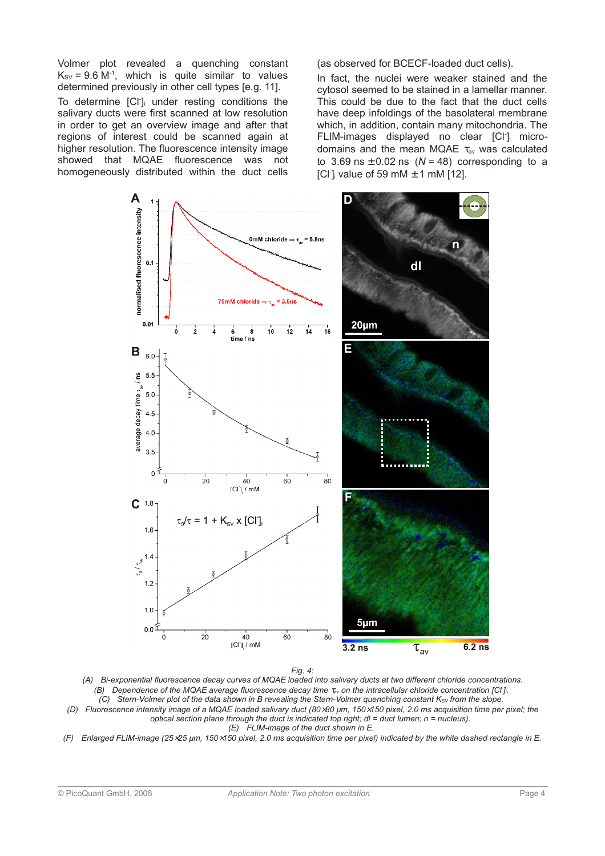Volmer plot revealed a quenching constant  $K_{SV}$  = 9.6 M<sup>-1</sup>, which is quite similar to values determined previously in other cell types [e.g. 11]. To determine [CI<sup>-</sup>]<sub>i</sub> under resting conditions the salivary ducts were first scanned at low resolution in order to get an overview image and after that regions of interest could be scanned again at higher resolution. The fluorescence intensity image showed that MQAE fluorescence was not homogeneously distributed within the duct cells (as observed for BCECF-loaded duct cells).

In fact, the nuclei were weaker stained and the cytosol seemed to be stained in a lamellar manner. This could be due to the fact that the duct cells have deep infoldings of the basolateral membrane which, in addition, contain many mitochondria. The FLIM-images displayed no clear [Cl<sup>-</sup>] microdomains and the mean MQAE τav was calculated to  $3.69$  ns  $\pm$  0.02 ns ( $N = 48$ ) corresponding to a [Cl<sup>-</sup>]<sub>i</sub> value of 59 mM  $\pm$  1 mM [12].



*Fig. 4:*

*(A) Bi-exponential fluorescence decay curves of MQAE loaded into salivary ducts at two different chloride concentrations. (B)* Dependence of the MQAE average fluorescence decay time  $\tau_{av}$  on the intracellular chloride concentration [Cl<sup>-</sup>]<sup>*i*</sup>. *(C)* Stern-Volmer plot of the data shown in B revealing the Stern-Volmer quenching constant K<sub>SV</sub> from the slope. *(D) Fluorescence intensity image of a MQAE loaded salivary duct (80*×*80 µm, 150*×*150 pixel, 2.0 ms acquisition time per pixel; the*



*(F) Enlarged FLIM-image (25*×*25 µm, 150*×*150 pixel, 2.0 ms acquisition time per pixel) indicated by the white dashed rectangle in E.*